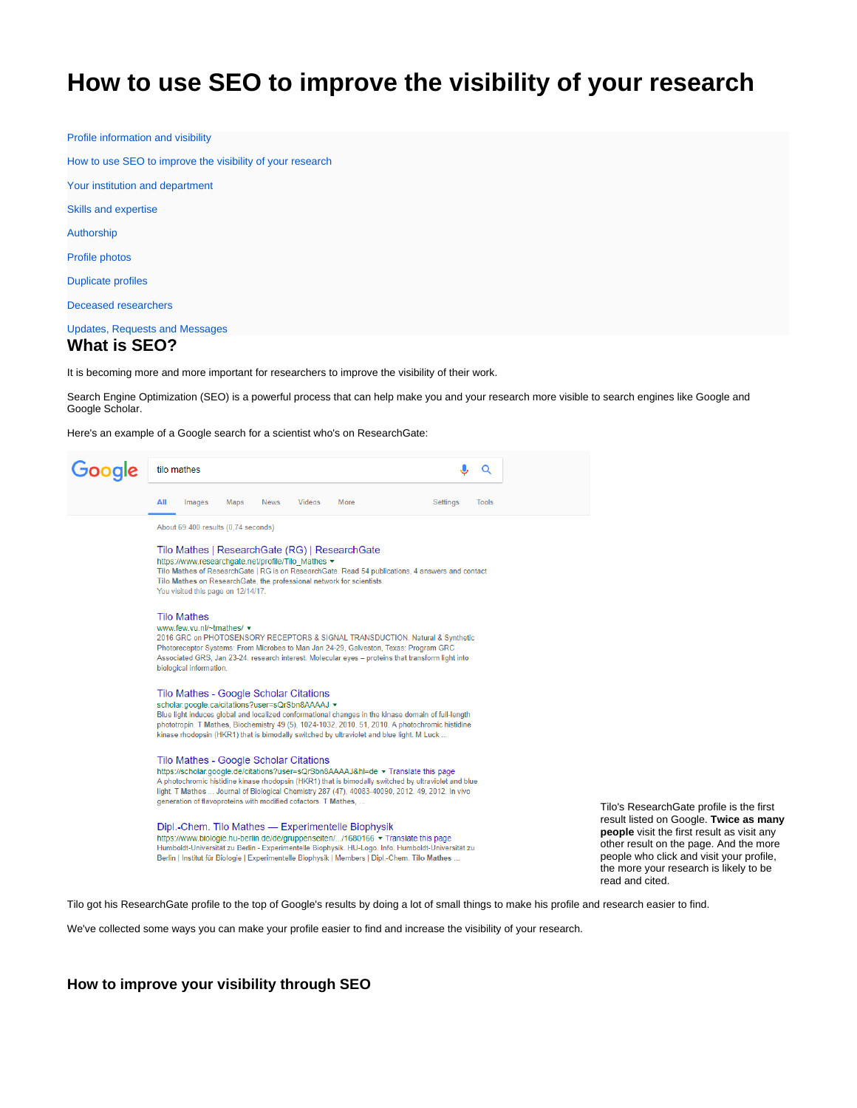# <span id="page-0-0"></span>**How to use SEO to improve the visibility of your research**

[Profile information and visibility](https://explore.researchgate.net/display/support/Profile+information+and+visibility)

[How to use SEO to improve the visibility of your research](#page-0-0)

[Your institution and department](https://explore.researchgate.net/display/support/Your+institution+and+department)

[Skills and expertise](https://explore.researchgate.net/display/support/Managing+your+skills+and+expertise)

[Authorship](https://explore.researchgate.net/display/support/Authorship)

[Profile photos](https://explore.researchgate.net/display/support/Profile+photos)

[Duplicate profiles](https://explore.researchgate.net/display/support/Duplicate+profiles)

[Deceased researchers](https://explore.researchgate.net/display/support/Deceased+researchers)

[Updates, Requests and Messages](https://explore.researchgate.net/display/support/Updates%2C+Requests+and+Messages)

# **What is SEO?**

It is becoming more and more important for researchers to improve the visibility of their work.

Search Engine Optimization (SEO) is a powerful process that can help make you and your research more visible to search engines like Google and Google Scholar.

Here's an example of a Google search for a scientist who's on ResearchGate:



Tilo's ResearchGate profile is the first result listed on Google. **Twice as many people** visit the first result as visit any other result on the page. And the more people who click and visit your profile, the more your research is likely to be read and cited.

Tilo got his ResearchGate profile to the top of Google's results by doing a lot of small things to make his profile and research easier to find.

We've collected some ways you can make your profile easier to find and increase the visibility of your research.

# **How to improve your visibility through SEO**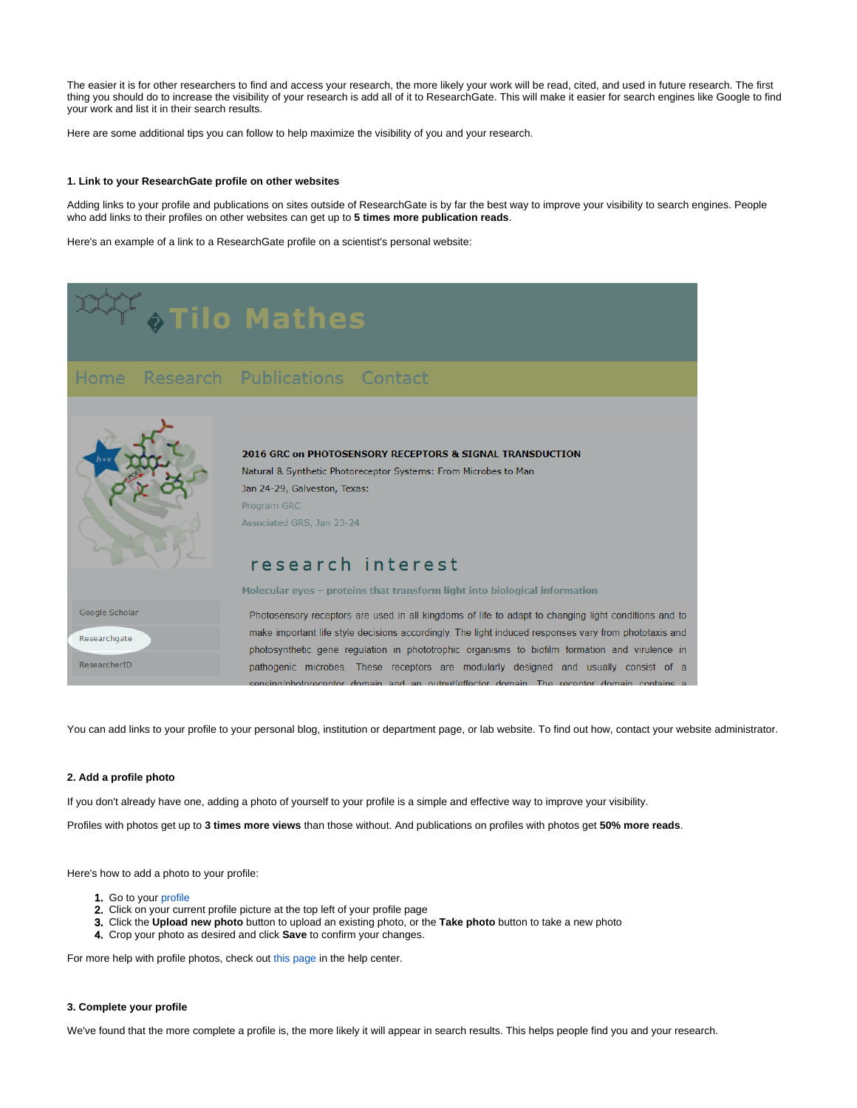The easier it is for other researchers to find and access your research, the more likely your work will be read, cited, and used in future research. The first thing you should do to increase the visibility of your research is add all of it to ResearchGate. This will make it easier for search engines like Google to find your work and list it in their search results.

Here are some additional tips you can follow to help maximize the visibility of you and your research.

### **1. Link to your ResearchGate profile on other websites**

Adding links to your profile and publications on sites outside of ResearchGate is by far the best way to improve your visibility to search engines. People who add links to their profiles on other websites can get up to **5 times more publication reads**.

Here's an example of a link to a ResearchGate profile on a scientist's personal website:



You can add links to your profile to your personal blog, institution or department page, or lab website. To find out how, contact your website administrator.

#### **2. Add a profile photo**

If you don't already have one, adding a photo of yourself to your profile is a simple and effective way to improve your visibility.

Profiles with photos get up to **3 times more views** than those without. And publications on profiles with photos get **50% more reads**.

Here's how to add a photo to your profile:

- 1. Go to your [profile](https://www.researchgate.net/go.Profile.html?pli=1)
- 2. Click on your current profile picture at the top left of your profile page
- 3. Click the **Upload new photo** button to upload an existing photo, or the **Take photo** button to take a new photo
- 4. Crop your photo as desired and click **Save** to confirm your changes.

For more help with profile photos, check out [this page](https://explore.researchgate.net/display/support/Profile+photos) in the help center.

## **3. Complete your profile**

We've found that the more complete a profile is, the more likely it will appear in search results. This helps people find you and your research.